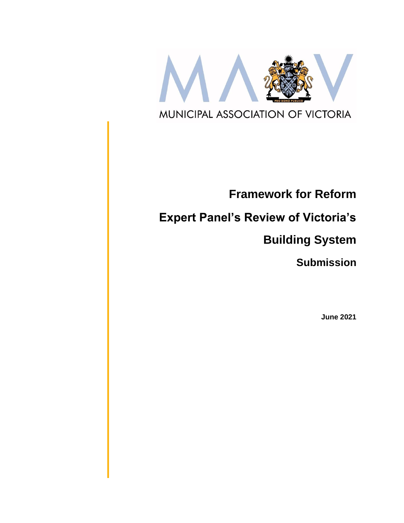

# **Framework for Reform**

# **Expert Panel's Review of Victoria's**

# **Building System**

**Submission**

**June 2021**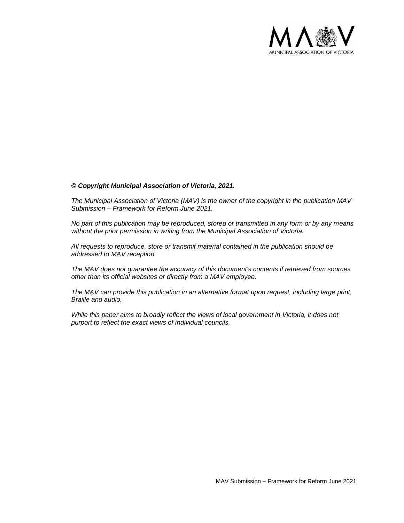

#### *© Copyright Municipal Association of Victoria, 2021.*

*The Municipal Association of Victoria (MAV) is the owner of the copyright in the publication MAV Submission – Framework for Reform June 2021.* 

*No part of this publication may be reproduced, stored or transmitted in any form or by any means without the prior permission in writing from the Municipal Association of Victoria.* 

*All requests to reproduce, store or transmit material contained in the publication should be addressed to MAV reception.*

*The MAV does not guarantee the accuracy of this document's contents if retrieved from sources other than its official websites or directly from a MAV employee.*

*The MAV can provide this publication in an alternative format upon request, including large print, Braille and audio.* 

*While this paper aims to broadly reflect the views of local government in Victoria, it does not purport to reflect the exact views of individual councils.*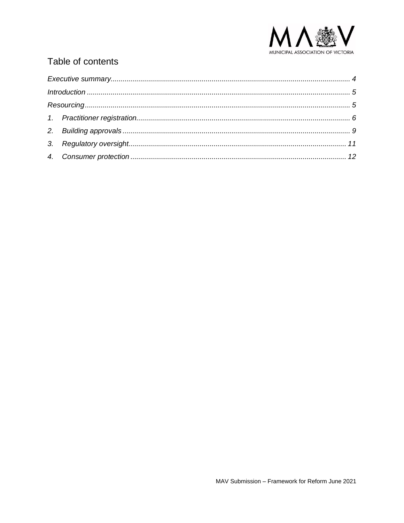

# Table of contents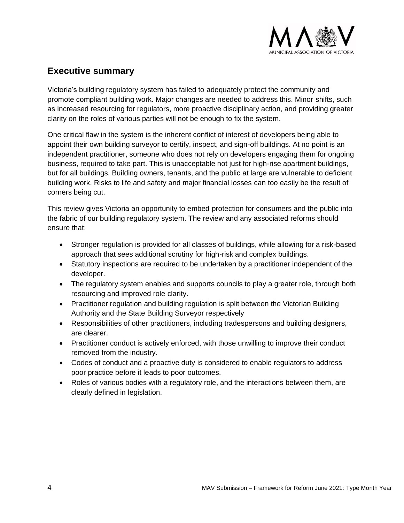

# <span id="page-3-0"></span>**Executive summary**

Victoria's building regulatory system has failed to adequately protect the community and promote compliant building work. Major changes are needed to address this. Minor shifts, such as increased resourcing for regulators, more proactive disciplinary action, and providing greater clarity on the roles of various parties will not be enough to fix the system.

One critical flaw in the system is the inherent conflict of interest of developers being able to appoint their own building surveyor to certify, inspect, and sign-off buildings. At no point is an independent practitioner, someone who does not rely on developers engaging them for ongoing business, required to take part. This is unacceptable not just for high-rise apartment buildings, but for all buildings. Building owners, tenants, and the public at large are vulnerable to deficient building work. Risks to life and safety and major financial losses can too easily be the result of corners being cut.

This review gives Victoria an opportunity to embed protection for consumers and the public into the fabric of our building regulatory system. The review and any associated reforms should ensure that:

- Stronger regulation is provided for all classes of buildings, while allowing for a risk-based approach that sees additional scrutiny for high-risk and complex buildings.
- Statutory inspections are required to be undertaken by a practitioner independent of the developer.
- The regulatory system enables and supports councils to play a greater role, through both resourcing and improved role clarity.
- Practitioner regulation and building regulation is split between the Victorian Building Authority and the State Building Surveyor respectively
- Responsibilities of other practitioners, including tradespersons and building designers, are clearer.
- Practitioner conduct is actively enforced, with those unwilling to improve their conduct removed from the industry.
- Codes of conduct and a proactive duty is considered to enable regulators to address poor practice before it leads to poor outcomes.
- Roles of various bodies with a regulatory role, and the interactions between them, are clearly defined in legislation.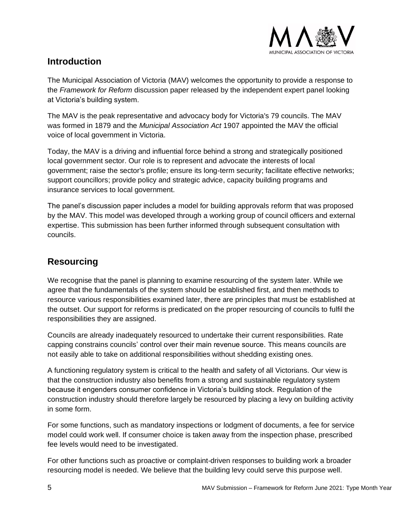

# <span id="page-4-0"></span>**Introduction**

The Municipal Association of Victoria (MAV) welcomes the opportunity to provide a response to the *Framework for Reform* discussion paper released by the independent expert panel looking at Victoria's building system.

The MAV is the peak representative and advocacy body for Victoria's 79 councils. The MAV was formed in 1879 and the *Municipal Association Act* 1907 appointed the MAV the official voice of local government in Victoria.

Today, the MAV is a driving and influential force behind a strong and strategically positioned local government sector. Our role is to represent and advocate the interests of local government; raise the sector's profile; ensure its long-term security; facilitate effective networks; support councillors; provide policy and strategic advice, capacity building programs and insurance services to local government.

The panel's discussion paper includes a model for building approvals reform that was proposed by the MAV. This model was developed through a working group of council officers and external expertise. This submission has been further informed through subsequent consultation with councils.

# <span id="page-4-1"></span>**Resourcing**

We recognise that the panel is planning to examine resourcing of the system later. While we agree that the fundamentals of the system should be established first, and then methods to resource various responsibilities examined later, there are principles that must be established at the outset. Our support for reforms is predicated on the proper resourcing of councils to fulfil the responsibilities they are assigned.

Councils are already inadequately resourced to undertake their current responsibilities. Rate capping constrains councils' control over their main revenue source. This means councils are not easily able to take on additional responsibilities without shedding existing ones.

A functioning regulatory system is critical to the health and safety of all Victorians. Our view is that the construction industry also benefits from a strong and sustainable regulatory system because it engenders consumer confidence in Victoria's building stock. Regulation of the construction industry should therefore largely be resourced by placing a levy on building activity in some form.

For some functions, such as mandatory inspections or lodgment of documents, a fee for service model could work well. If consumer choice is taken away from the inspection phase, prescribed fee levels would need to be investigated.

For other functions such as proactive or complaint-driven responses to building work a broader resourcing model is needed. We believe that the building levy could serve this purpose well.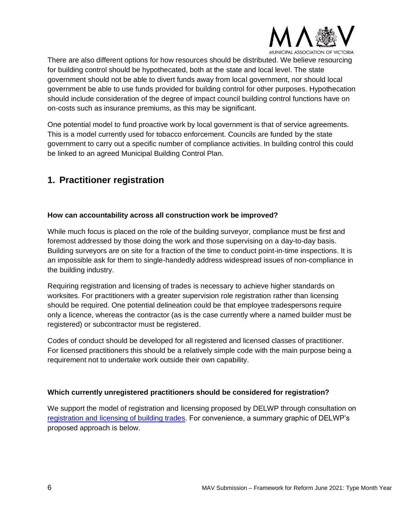

There are also different options for how resources should be distributed. We believe resourcing for building control should be hypothecated, both at the state and local level. The state government should not be able to divert funds away from local government, nor should local government be able to use funds provided for building control for other purposes. Hypothecation should include consideration of the degree of impact council building control functions have on on-costs such as insurance premiums, as this may be significant.

One potential model to fund proactive work by local government is that of service agreements. This is a model currently used for tobacco enforcement. Councils are funded by the state government to carry out a specific number of compliance activities. In building control this could be linked to an agreed Municipal Building Control Plan.

# <span id="page-5-0"></span>**1. Practitioner registration**

### **How can accountability across all construction work be improved?**

While much focus is placed on the role of the building surveyor, compliance must be first and foremost addressed by those doing the work and those supervising on a day-to-day basis. Building surveyors are on site for a fraction of the time to conduct point-in-time inspections. It is an impossible ask for them to single-handedly address widespread issues of non-compliance in the building industry.

Requiring registration and licensing of trades is necessary to achieve higher standards on worksites. For practitioners with a greater supervision role registration rather than licensing should be required. One potential delineation could be that employee tradespersons require only a licence, whereas the contractor (as is the case currently where a named builder must be registered) or subcontractor must be registered.

Codes of conduct should be developed for all registered and licensed classes of practitioner. For licensed practitioners this should be a relatively simple code with the main purpose being a requirement not to undertake work outside their own capability.

# **Which currently unregistered practitioners should be considered for registration?**

We support the model of registration and licensing proposed by DELWP through consultation on [registration and licensing](https://engage.vic.gov.au/registration-and-licensing-building-trades) of building trades. For convenience, a summary graphic of DELWP's proposed approach is below.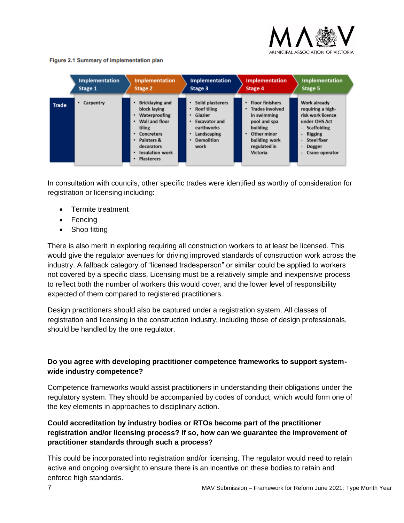

Figure 2.1 Summary of implementation plan

|       | <b>Implementation</b><br>Stage 1 | <b>Implementation</b><br>Stage 2                                                                                                                                                                    | <b>Implementation</b><br>Stage 3                                                                                            | <b>Implementation</b><br>Stage 4                                                                                                                             | <b>Implementation</b><br>Stage 5                                                                                                                                                     |  |
|-------|----------------------------------|-----------------------------------------------------------------------------------------------------------------------------------------------------------------------------------------------------|-----------------------------------------------------------------------------------------------------------------------------|--------------------------------------------------------------------------------------------------------------------------------------------------------------|--------------------------------------------------------------------------------------------------------------------------------------------------------------------------------------|--|
| Trade | Carpentry<br>٠                   | <b>Bricklaying and</b><br>٠<br>block laving<br>Waterproofing<br>٠<br>Wall and floor<br>tiling<br>Concreters<br>Painters &<br>$\bullet$<br>decorators<br>· Insulation work<br><b>Plasterers</b><br>٠ | * Solid plasterers<br>• Roof tiling<br>· Glazier<br><b>Excavator and</b><br>earthworks<br>Landscaping<br>Demolition<br>work | <b>Floor finishers</b><br><b>Trades involved</b><br>٠<br>in swimming<br>pool and spa<br>building<br>Other minor<br>building work<br>regulated in<br>Victoria | Work already<br>requiring a high-<br>risk work licence<br>under OHS Act<br>Scaffolding<br>-<br>Rigging<br><b>Steel fixer</b><br>Dogger<br>$\overline{\phantom{0}}$<br>Crane operator |  |

In consultation with councils, other specific trades were identified as worthy of consideration for registration or licensing including:

- Termite treatment
- Fencing
- Shop fitting

There is also merit in exploring requiring all construction workers to at least be licensed. This would give the regulator avenues for driving improved standards of construction work across the industry. A fallback category of "licensed tradesperson" or similar could be applied to workers not covered by a specific class. Licensing must be a relatively simple and inexpensive process to reflect both the number of workers this would cover, and the lower level of responsibility expected of them compared to registered practitioners.

Design practitioners should also be captured under a registration system. All classes of registration and licensing in the construction industry, including those of design professionals, should be handled by the one regulator.

# **Do you agree with developing practitioner competence frameworks to support systemwide industry competence?**

Competence frameworks would assist practitioners in understanding their obligations under the regulatory system. They should be accompanied by codes of conduct, which would form one of the key elements in approaches to disciplinary action.

# **Could accreditation by industry bodies or RTOs become part of the practitioner registration and/or licensing process? If so, how can we guarantee the improvement of practitioner standards through such a process?**

This could be incorporated into registration and/or licensing. The regulator would need to retain active and ongoing oversight to ensure there is an incentive on these bodies to retain and enforce high standards.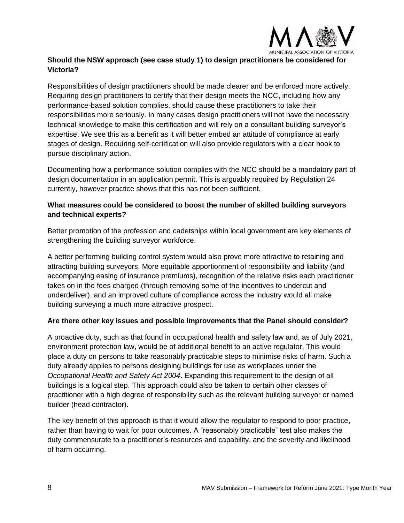

# **Should the NSW approach (see case study 1) to design practitioners be considered for Victoria?**

Responsibilities of design practitioners should be made clearer and be enforced more actively. Requiring design practitioners to certify that their design meets the NCC, including how any performance-based solution complies, should cause these practitioners to take their responsibilities more seriously. In many cases design practitioners will not have the necessary technical knowledge to make this certification and will rely on a consultant building surveyor's expertise. We see this as a benefit as it will better embed an attitude of compliance at early stages of design. Requiring self-certification will also provide regulators with a clear hook to pursue disciplinary action.

Documenting how a performance solution complies with the NCC should be a mandatory part of design documentation in an application permit. This is arguably required by Regulation 24 currently, however practice shows that this has not been sufficient.

## **What measures could be considered to boost the number of skilled building surveyors and technical experts?**

Better promotion of the profession and cadetships within local government are key elements of strengthening the building surveyor workforce.

A better performing building control system would also prove more attractive to retaining and attracting building surveyors. More equitable apportionment of responsibility and liability (and accompanying easing of insurance premiums), recognition of the relative risks each practitioner takes on in the fees charged (through removing some of the incentives to undercut and underdeliver), and an improved culture of compliance across the industry would all make building surveying a much more attractive prospect.

# **Are there other key issues and possible improvements that the Panel should consider?**

A proactive duty, such as that found in occupational health and safety law and, as of July 2021, environment protection law, would be of additional benefit to an active regulator. This would place a duty on persons to take reasonably practicable steps to minimise risks of harm. Such a duty already applies to persons designing buildings for use as workplaces under the *Occupational Health and Safety Act 2004*. Expanding this requirement to the design of all buildings is a logical step. This approach could also be taken to certain other classes of practitioner with a high degree of responsibility such as the relevant building surveyor or named builder (head contractor).

The key benefit of this approach is that it would allow the regulator to respond to poor practice, rather than having to wait for poor outcomes. A "reasonably practicable" test also makes the duty commensurate to a practitioner's resources and capability, and the severity and likelihood of harm occurring.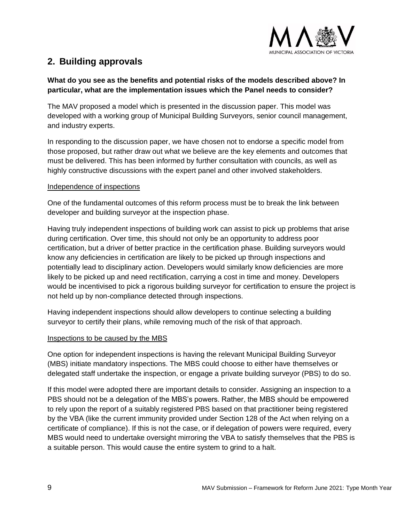

# <span id="page-8-0"></span>**2. Building approvals**

# **What do you see as the benefits and potential risks of the models described above? In particular, what are the implementation issues which the Panel needs to consider?**

The MAV proposed a model which is presented in the discussion paper. This model was developed with a working group of Municipal Building Surveyors, senior council management, and industry experts.

In responding to the discussion paper, we have chosen not to endorse a specific model from those proposed, but rather draw out what we believe are the key elements and outcomes that must be delivered. This has been informed by further consultation with councils, as well as highly constructive discussions with the expert panel and other involved stakeholders.

#### Independence of inspections

One of the fundamental outcomes of this reform process must be to break the link between developer and building surveyor at the inspection phase.

Having truly independent inspections of building work can assist to pick up problems that arise during certification. Over time, this should not only be an opportunity to address poor certification, but a driver of better practice in the certification phase. Building surveyors would know any deficiencies in certification are likely to be picked up through inspections and potentially lead to disciplinary action. Developers would similarly know deficiencies are more likely to be picked up and need rectification, carrying a cost in time and money. Developers would be incentivised to pick a rigorous building surveyor for certification to ensure the project is not held up by non-compliance detected through inspections.

Having independent inspections should allow developers to continue selecting a building surveyor to certify their plans, while removing much of the risk of that approach.

#### Inspections to be caused by the MBS

One option for independent inspections is having the relevant Municipal Building Surveyor (MBS) initiate mandatory inspections. The MBS could choose to either have themselves or delegated staff undertake the inspection, or engage a private building surveyor (PBS) to do so.

If this model were adopted there are important details to consider. Assigning an inspection to a PBS should not be a delegation of the MBS's powers. Rather, the MBS should be empowered to rely upon the report of a suitably registered PBS based on that practitioner being registered by the VBA (like the current immunity provided under Section 128 of the Act when relying on a certificate of compliance). If this is not the case, or if delegation of powers were required, every MBS would need to undertake oversight mirroring the VBA to satisfy themselves that the PBS is a suitable person. This would cause the entire system to grind to a halt.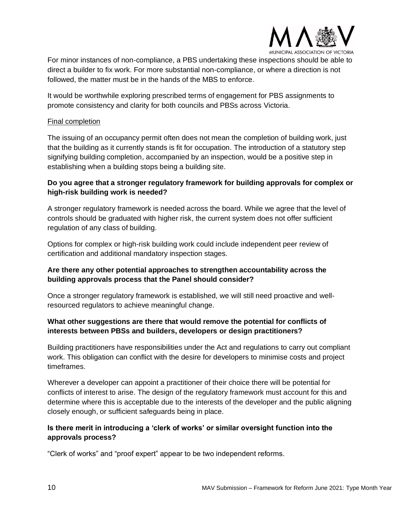

For minor instances of non-compliance, a PBS undertaking these inspections should be able to direct a builder to fix work. For more substantial non-compliance, or where a direction is not followed, the matter must be in the hands of the MBS to enforce.

It would be worthwhile exploring prescribed terms of engagement for PBS assignments to promote consistency and clarity for both councils and PBSs across Victoria.

#### Final completion

The issuing of an occupancy permit often does not mean the completion of building work, just that the building as it currently stands is fit for occupation. The introduction of a statutory step signifying building completion, accompanied by an inspection, would be a positive step in establishing when a building stops being a building site.

### **Do you agree that a stronger regulatory framework for building approvals for complex or high-risk building work is needed?**

A stronger regulatory framework is needed across the board. While we agree that the level of controls should be graduated with higher risk, the current system does not offer sufficient regulation of any class of building.

Options for complex or high-risk building work could include independent peer review of certification and additional mandatory inspection stages.

### **Are there any other potential approaches to strengthen accountability across the building approvals process that the Panel should consider?**

Once a stronger regulatory framework is established, we will still need proactive and wellresourced regulators to achieve meaningful change.

### **What other suggestions are there that would remove the potential for conflicts of interests between PBSs and builders, developers or design practitioners?**

Building practitioners have responsibilities under the Act and regulations to carry out compliant work. This obligation can conflict with the desire for developers to minimise costs and project timeframes.

Wherever a developer can appoint a practitioner of their choice there will be potential for conflicts of interest to arise. The design of the regulatory framework must account for this and determine where this is acceptable due to the interests of the developer and the public aligning closely enough, or sufficient safeguards being in place.

# **Is there merit in introducing a 'clerk of works' or similar oversight function into the approvals process?**

"Clerk of works" and "proof expert" appear to be two independent reforms.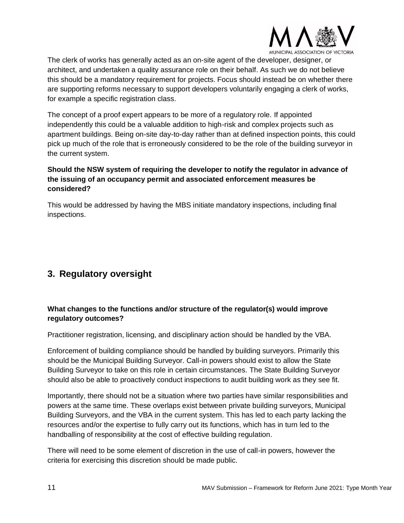

The clerk of works has generally acted as an on-site agent of the developer, designer, or architect, and undertaken a quality assurance role on their behalf. As such we do not believe this should be a mandatory requirement for projects. Focus should instead be on whether there are supporting reforms necessary to support developers voluntarily engaging a clerk of works, for example a specific registration class.

The concept of a proof expert appears to be more of a regulatory role. If appointed independently this could be a valuable addition to high-risk and complex projects such as apartment buildings. Being on-site day-to-day rather than at defined inspection points, this could pick up much of the role that is erroneously considered to be the role of the building surveyor in the current system.

# **Should the NSW system of requiring the developer to notify the regulator in advance of the issuing of an occupancy permit and associated enforcement measures be considered?**

This would be addressed by having the MBS initiate mandatory inspections, including final inspections.

# <span id="page-10-0"></span>**3. Regulatory oversight**

# **What changes to the functions and/or structure of the regulator(s) would improve regulatory outcomes?**

Practitioner registration, licensing, and disciplinary action should be handled by the VBA.

Enforcement of building compliance should be handled by building surveyors. Primarily this should be the Municipal Building Surveyor. Call-in powers should exist to allow the State Building Surveyor to take on this role in certain circumstances. The State Building Surveyor should also be able to proactively conduct inspections to audit building work as they see fit.

Importantly, there should not be a situation where two parties have similar responsibilities and powers at the same time. These overlaps exist between private building surveyors, Municipal Building Surveyors, and the VBA in the current system. This has led to each party lacking the resources and/or the expertise to fully carry out its functions, which has in turn led to the handballing of responsibility at the cost of effective building regulation.

There will need to be some element of discretion in the use of call-in powers, however the criteria for exercising this discretion should be made public.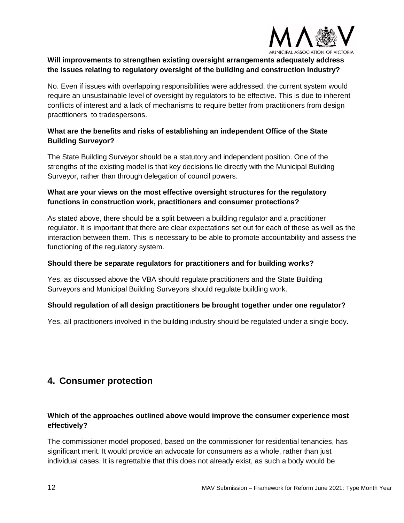

## **Will improvements to strengthen existing oversight arrangements adequately address the issues relating to regulatory oversight of the building and construction industry?**

No. Even if issues with overlapping responsibilities were addressed, the current system would require an unsustainable level of oversight by regulators to be effective. This is due to inherent conflicts of interest and a lack of mechanisms to require better from practitioners from design practitioners to tradespersons.

## **What are the benefits and risks of establishing an independent Office of the State Building Surveyor?**

The State Building Surveyor should be a statutory and independent position. One of the strengths of the existing model is that key decisions lie directly with the Municipal Building Surveyor, rather than through delegation of council powers.

# **What are your views on the most effective oversight structures for the regulatory functions in construction work, practitioners and consumer protections?**

As stated above, there should be a split between a building regulator and a practitioner regulator. It is important that there are clear expectations set out for each of these as well as the interaction between them. This is necessary to be able to promote accountability and assess the functioning of the regulatory system.

## **Should there be separate regulators for practitioners and for building works?**

Yes, as discussed above the VBA should regulate practitioners and the State Building Surveyors and Municipal Building Surveyors should regulate building work.

#### **Should regulation of all design practitioners be brought together under one regulator?**

Yes, all practitioners involved in the building industry should be regulated under a single body.

# <span id="page-11-0"></span>**4. Consumer protection**

# **Which of the approaches outlined above would improve the consumer experience most effectively?**

The commissioner model proposed, based on the commissioner for residential tenancies, has significant merit. It would provide an advocate for consumers as a whole, rather than just individual cases. It is regrettable that this does not already exist, as such a body would be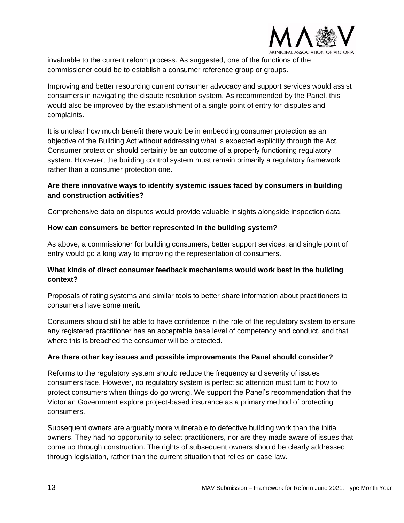

invaluable to the current reform process. As suggested, one of the functions of the commissioner could be to establish a consumer reference group or groups.

Improving and better resourcing current consumer advocacy and support services would assist consumers in navigating the dispute resolution system. As recommended by the Panel, this would also be improved by the establishment of a single point of entry for disputes and complaints.

It is unclear how much benefit there would be in embedding consumer protection as an objective of the Building Act without addressing what is expected explicitly through the Act. Consumer protection should certainly be an outcome of a properly functioning regulatory system. However, the building control system must remain primarily a regulatory framework rather than a consumer protection one.

## **Are there innovative ways to identify systemic issues faced by consumers in building and construction activities?**

Comprehensive data on disputes would provide valuable insights alongside inspection data.

#### **How can consumers be better represented in the building system?**

As above, a commissioner for building consumers, better support services, and single point of entry would go a long way to improving the representation of consumers.

### **What kinds of direct consumer feedback mechanisms would work best in the building context?**

Proposals of rating systems and similar tools to better share information about practitioners to consumers have some merit.

Consumers should still be able to have confidence in the role of the regulatory system to ensure any registered practitioner has an acceptable base level of competency and conduct, and that where this is breached the consumer will be protected.

#### **Are there other key issues and possible improvements the Panel should consider?**

Reforms to the regulatory system should reduce the frequency and severity of issues consumers face. However, no regulatory system is perfect so attention must turn to how to protect consumers when things do go wrong. We support the Panel's recommendation that the Victorian Government explore project-based insurance as a primary method of protecting consumers.

Subsequent owners are arguably more vulnerable to defective building work than the initial owners. They had no opportunity to select practitioners, nor are they made aware of issues that come up through construction. The rights of subsequent owners should be clearly addressed through legislation, rather than the current situation that relies on case law.